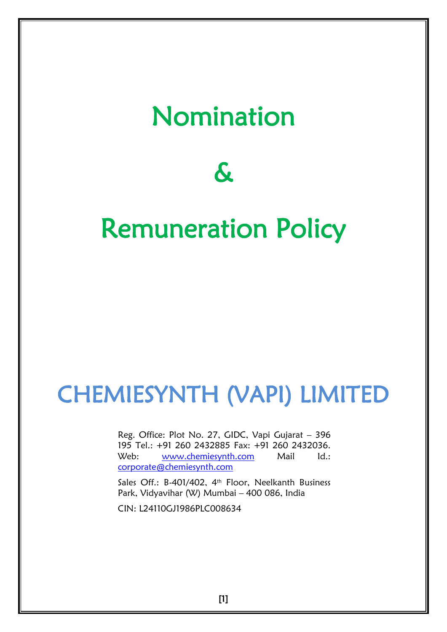# Nomination

# $\boldsymbol{\delta}$

# Remuneration Policy

# CHEMIESYNTH (VAPI) LIMITED

Reg. Office: Plot No. 27, GIDC, Vapi Gujarat – 396 195 Tel.: +91 260 2432885 Fax: +91 260 2432036. Web: [www.chemiesynth.com](http://www.chemiesynth.com/) Mail Id.: [corporate@chemiesynth.com](mailto:corporate@chemiesynth.com)

Sales Off.: B-401/402, 4<sup>th</sup> Floor, Neelkanth Business Park, Vidyavihar (W) Mumbai – 400 086, India

CIN: L24110GJ1986PLC008634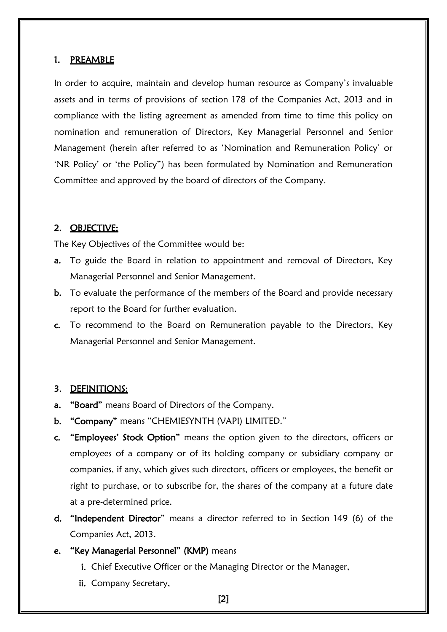#### 1. PREAMBLE

In order to acquire, maintain and develop human resource as Company"s invaluable assets and in terms of provisions of section 178 of the Companies Act, 2013 and in compliance with the listing agreement as amended from time to time this policy on nomination and remuneration of Directors, Key Managerial Personnel and Senior Management (herein after referred to as "Nomination and Remuneration Policy" or "NR Policy" or "the Policy") has been formulated by Nomination and Remuneration Committee and approved by the board of directors of the Company.

#### 2. OBJECTIVE:

The Key Objectives of the Committee would be:

- a. To guide the Board in relation to appointment and removal of Directors, Key Managerial Personnel and Senior Management.
- b. To evaluate the performance of the members of the Board and provide necessary report to the Board for further evaluation.
- c. To recommend to the Board on Remuneration payable to the Directors, Key Managerial Personnel and Senior Management.

#### 3. DEFINITIONS:

- a. "Board" means Board of Directors of the Company.
- b. "Company" means "CHEMIESYNTH (VAPI) LIMITED."
- c. "Employees" Stock Option" means the option given to the directors, officers or employees of a company or of its holding company or subsidiary company or companies, if any, which gives such directors, officers or employees, the benefit or right to purchase, or to subscribe for, the shares of the company at a future date at a pre-determined price.
- d. "Independent Director" means a director referred to in Section 149 (6) of the Companies Act, 2013.
- e. "Key Managerial Personnel" (KMP) means
	- i. Chief Executive Officer or the Managing Director or the Manager,
	- ii. Company Secretary,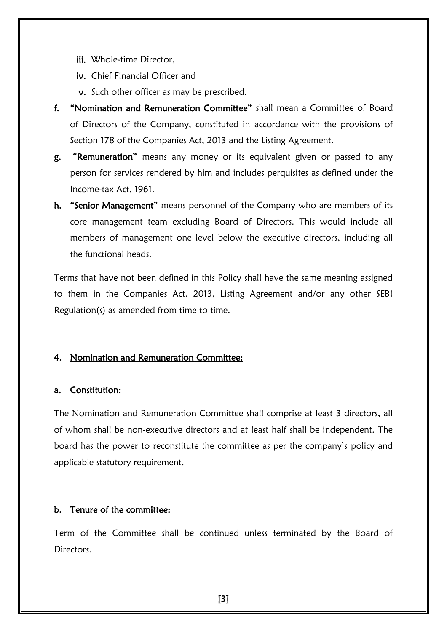iii. Whole-time Director,

iv. Chief Financial Officer and

- v. Such other officer as may be prescribed.
- f. "Nomination and Remuneration Committee" shall mean a Committee of Board of Directors of the Company, constituted in accordance with the provisions of Section 178 of the Companies Act, 2013 and the Listing Agreement.
- g. "Remuneration" means any money or its equivalent given or passed to any person for services rendered by him and includes perquisites as defined under the Income-tax Act, 1961.
- h. "Senior Management" means personnel of the Company who are members of its core management team excluding Board of Directors. This would include all members of management one level below the executive directors, including all the functional heads.

Terms that have not been defined in this Policy shall have the same meaning assigned to them in the Companies Act, 2013, Listing Agreement and/or any other SEBI Regulation(s) as amended from time to time.

### 4. Nomination and Remuneration Committee:

#### a. Constitution:

The Nomination and Remuneration Committee shall comprise at least 3 directors, all of whom shall be non-executive directors and at least half shall be independent. The board has the power to reconstitute the committee as per the company"s policy and applicable statutory requirement.

#### b. Tenure of the committee:

Term of the Committee shall be continued unless terminated by the Board of Directors.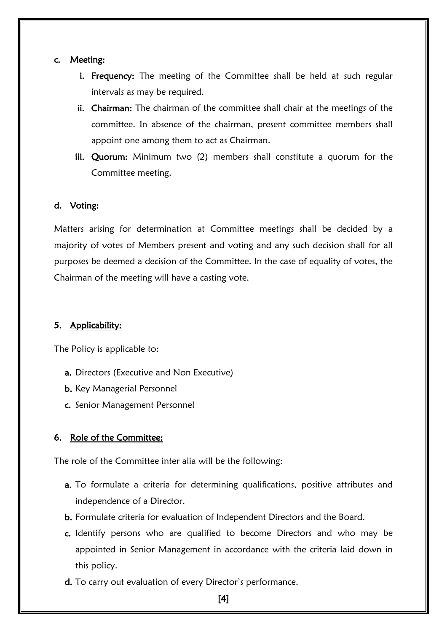#### c. Meeting:

- i. Frequency: The meeting of the Committee shall be held at such regular intervals as may be required.
- ii. Chairman: The chairman of the committee shall chair at the meetings of the committee. In absence of the chairman, present committee members shall appoint one among them to act as Chairman.
- iii. Quorum: Minimum two (2) members shall constitute a quorum for the Committee meeting.

#### d. Voting:

Matters arising for determination at Committee meetings shall be decided by a majority of votes of Members present and voting and any such decision shall for all purposes be deemed a decision of the Committee. In the case of equality of votes, the Chairman of the meeting will have a casting vote.

#### 5. Applicability:

The Policy is applicable to:

- a. Directors (Executive and Non Executive)
- b. Key Managerial Personnel
- c. Senior Management Personnel

#### 6. Role of the Committee:

The role of the Committee inter alia will be the following:

- a. To formulate a criteria for determining qualifications, positive attributes and independence of a Director.
- b. Formulate criteria for evaluation of Independent Directors and the Board.
- c. Identify persons who are qualified to become Directors and who may be appointed in Senior Management in accordance with the criteria laid down in this policy.
- d. To carry out evaluation of every Director's performance.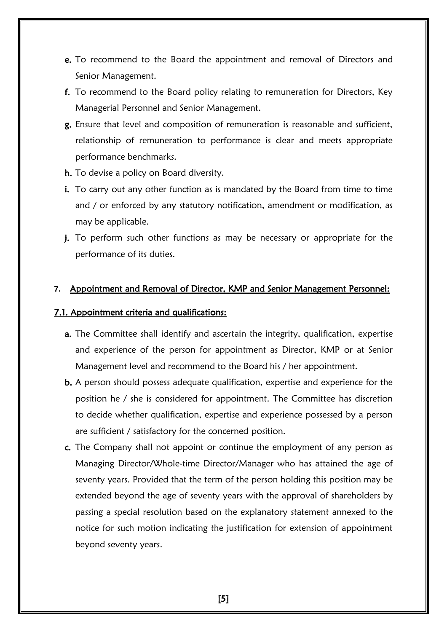- e. To recommend to the Board the appointment and removal of Directors and Senior Management.
- f. To recommend to the Board policy relating to remuneration for Directors, Key Managerial Personnel and Senior Management.
- g. Ensure that level and composition of remuneration is reasonable and sufficient, relationship of remuneration to performance is clear and meets appropriate performance benchmarks.
- h. To devise a policy on Board diversity.
- i. To carry out any other function as is mandated by the Board from time to time and / or enforced by any statutory notification, amendment or modification, as may be applicable.
- j. To perform such other functions as may be necessary or appropriate for the performance of its duties.

#### **7.** Appointment and Removal of Director, KMP and Senior Management Personnel:

#### 7.1. Appointment criteria and qualifications:

- a. The Committee shall identify and ascertain the integrity, qualification, expertise and experience of the person for appointment as Director, KMP or at Senior Management level and recommend to the Board his / her appointment.
- b. A person should possess adequate qualification, expertise and experience for the position he / she is considered for appointment. The Committee has discretion to decide whether qualification, expertise and experience possessed by a person are sufficient / satisfactory for the concerned position.
- c. The Company shall not appoint or continue the employment of any person as Managing Director/Whole-time Director/Manager who has attained the age of seventy years. Provided that the term of the person holding this position may be extended beyond the age of seventy years with the approval of shareholders by passing a special resolution based on the explanatory statement annexed to the notice for such motion indicating the justification for extension of appointment beyond seventy years.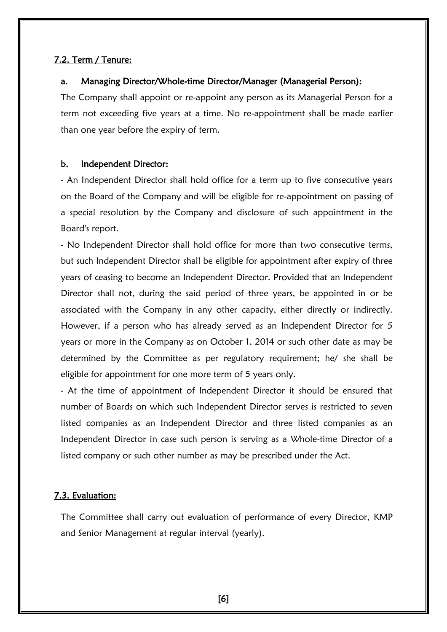#### 7.2. Term / Tenure:

#### a. Managing Director/Whole-time Director/Manager (Managerial Person):

The Company shall appoint or re-appoint any person as its Managerial Person for a term not exceeding five years at a time. No re-appointment shall be made earlier than one year before the expiry of term.

#### b. Independent Director:

- An Independent Director shall hold office for a term up to five consecutive years on the Board of the Company and will be eligible for re-appointment on passing of a special resolution by the Company and disclosure of such appointment in the Board's report.

- No Independent Director shall hold office for more than two consecutive terms, but such Independent Director shall be eligible for appointment after expiry of three years of ceasing to become an Independent Director. Provided that an Independent Director shall not, during the said period of three years, be appointed in or be associated with the Company in any other capacity, either directly or indirectly. However, if a person who has already served as an Independent Director for 5 years or more in the Company as on October 1, 2014 or such other date as may be determined by the Committee as per regulatory requirement; he/ she shall be eligible for appointment for one more term of 5 years only.

- At the time of appointment of Independent Director it should be ensured that number of Boards on which such Independent Director serves is restricted to seven listed companies as an Independent Director and three listed companies as an Independent Director in case such person is serving as a Whole-time Director of a listed company or such other number as may be prescribed under the Act.

#### 7.3. Evaluation:

The Committee shall carry out evaluation of performance of every Director, KMP and Senior Management at regular interval (yearly).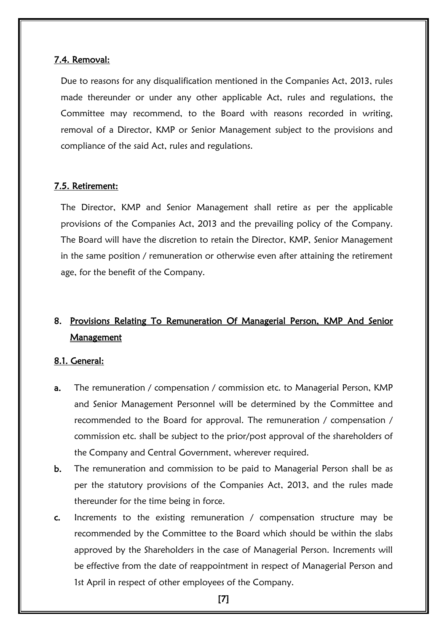#### 7.4. Removal:

Due to reasons for any disqualification mentioned in the Companies Act, 2013, rules made thereunder or under any other applicable Act, rules and regulations, the Committee may recommend, to the Board with reasons recorded in writing, removal of a Director, KMP or Senior Management subject to the provisions and compliance of the said Act, rules and regulations.

#### 7.5. Retirement:

The Director, KMP and Senior Management shall retire as per the applicable provisions of the Companies Act, 2013 and the prevailing policy of the Company. The Board will have the discretion to retain the Director, KMP, Senior Management in the same position / remuneration or otherwise even after attaining the retirement age, for the benefit of the Company.

# 8. Provisions Relating To Remuneration Of Managerial Person, KMP And Senior **Management**

#### 8.1. General:

- a. The remuneration / compensation / commission etc. to Managerial Person, KMP and Senior Management Personnel will be determined by the Committee and recommended to the Board for approval. The remuneration / compensation / commission etc. shall be subject to the prior/post approval of the shareholders of the Company and Central Government, wherever required.
- b. The remuneration and commission to be paid to Managerial Person shall be as per the statutory provisions of the Companies Act, 2013, and the rules made thereunder for the time being in force.
- c. Increments to the existing remuneration / compensation structure may be recommended by the Committee to the Board which should be within the slabs approved by the Shareholders in the case of Managerial Person. Increments will be effective from the date of reappointment in respect of Managerial Person and 1st April in respect of other employees of the Company.

[7]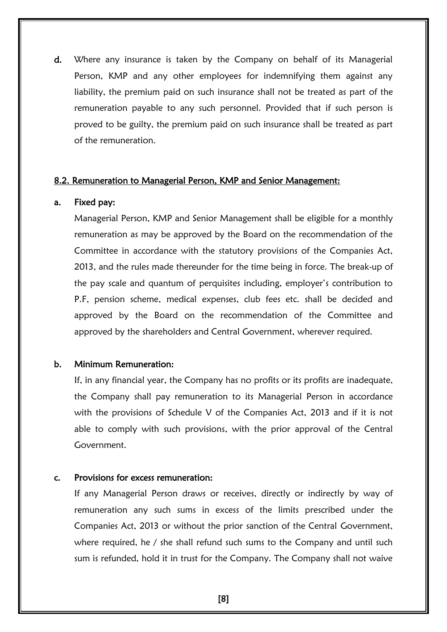d. Where any insurance is taken by the Company on behalf of its Managerial Person, KMP and any other employees for indemnifying them against any liability, the premium paid on such insurance shall not be treated as part of the remuneration payable to any such personnel. Provided that if such person is proved to be guilty, the premium paid on such insurance shall be treated as part of the remuneration.

#### 8.2. Remuneration to Managerial Person, KMP and Senior Management:

#### a. Fixed pay:

Managerial Person, KMP and Senior Management shall be eligible for a monthly remuneration as may be approved by the Board on the recommendation of the Committee in accordance with the statutory provisions of the Companies Act, 2013, and the rules made thereunder for the time being in force. The break-up of the pay scale and quantum of perquisites including, employer's contribution to P.F, pension scheme, medical expenses, club fees etc. shall be decided and approved by the Board on the recommendation of the Committee and approved by the shareholders and Central Government, wherever required.

#### b. Minimum Remuneration:

If, in any financial year, the Company has no profits or its profits are inadequate, the Company shall pay remuneration to its Managerial Person in accordance with the provisions of Schedule V of the Companies Act, 2013 and if it is not able to comply with such provisions, with the prior approval of the Central Government.

#### c. Provisions for excess remuneration:

If any Managerial Person draws or receives, directly or indirectly by way of remuneration any such sums in excess of the limits prescribed under the Companies Act, 2013 or without the prior sanction of the Central Government, where required, he / she shall refund such sums to the Company and until such sum is refunded, hold it in trust for the Company. The Company shall not waive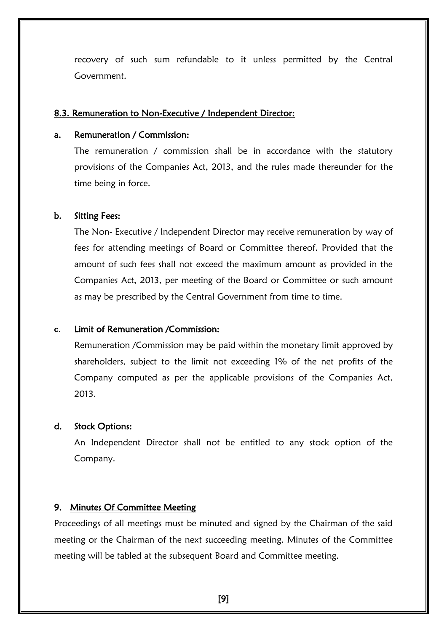recovery of such sum refundable to it unless permitted by the Central Government.

#### 8.3. Remuneration to Non-Executive / Independent Director:

#### a. Remuneration / Commission:

The remuneration / commission shall be in accordance with the statutory provisions of the Companies Act, 2013, and the rules made thereunder for the time being in force.

#### b. Sitting Fees:

The Non- Executive / Independent Director may receive remuneration by way of fees for attending meetings of Board or Committee thereof. Provided that the amount of such fees shall not exceed the maximum amount as provided in the Companies Act, 2013, per meeting of the Board or Committee or such amount as may be prescribed by the Central Government from time to time.

#### **c.** Limit of Remuneration /Commission:

Remuneration /Commission may be paid within the monetary limit approved by shareholders, subject to the limit not exceeding 1% of the net profits of the Company computed as per the applicable provisions of the Companies Act, 2013.

#### d. Stock Options:

An Independent Director shall not be entitled to any stock option of the Company.

#### 9. Minutes Of Committee Meeting

Proceedings of all meetings must be minuted and signed by the Chairman of the said meeting or the Chairman of the next succeeding meeting. Minutes of the Committee meeting will be tabled at the subsequent Board and Committee meeting.